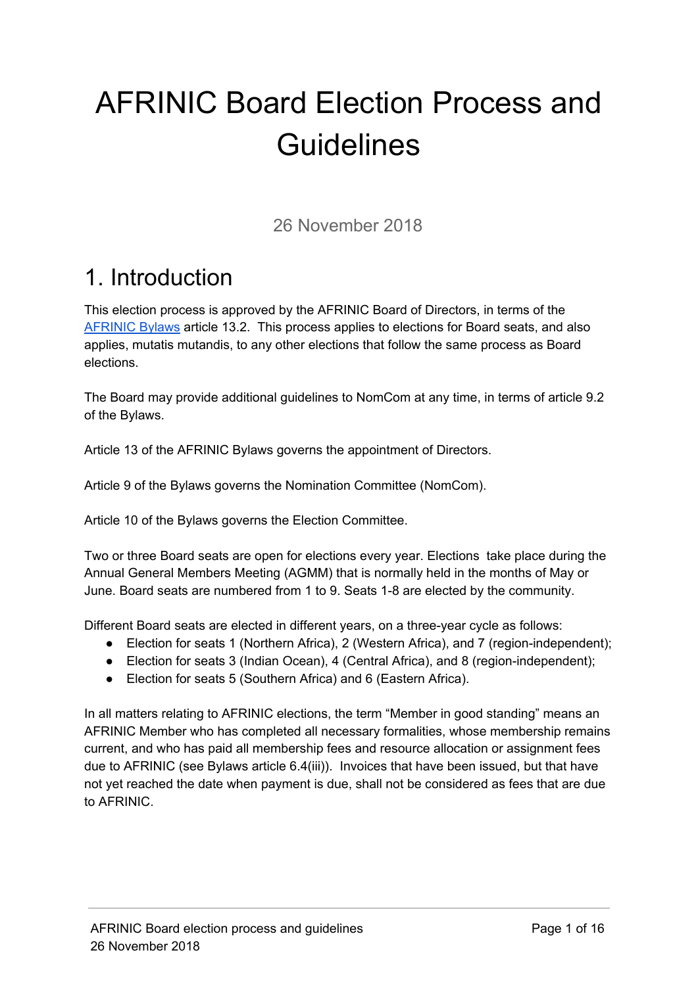# AFRINIC Board Election Process and **Guidelines**

26 November 2018

### 1. Introduction

This election process is approved by the AFRINIC Board of Directors, in terms of the [AFRINIC](https://afrinic.net/en/about/bylaws) Bylaws article 13.2. This process applies to elections for Board seats, and also applies, mutatis mutandis, to any other elections that follow the same process as Board elections.

The Board may provide additional guidelines to NomCom at any time, in terms of article 9.2 of the Bylaws.

Article 13 of the AFRINIC Bylaws governs the appointment of Directors.

Article 9 of the Bylaws governs the Nomination Committee (NomCom).

Article 10 of the Bylaws governs the Election Committee.

Two or three Board seats are open for elections every year. Elections take place during the Annual General Members Meeting (AGMM) that is normally held in the months of May or June. Board seats are numbered from 1 to 9. Seats 1-8 are elected by the community.

Different Board seats are elected in different years, on a three-year cycle as follows:

- Election for seats 1 (Northern Africa), 2 (Western Africa), and 7 (region-independent);
- Election for seats 3 (Indian Ocean), 4 (Central Africa), and 8 (region-independent);
- Election for seats 5 (Southern Africa) and 6 (Eastern Africa).

In all matters relating to AFRINIC elections, the term "Member in good standing" means an AFRINIC Member who has completed all necessary formalities, whose membership remains current, and who has paid all membership fees and resource allocation or assignment fees due to AFRINIC (see Bylaws article 6.4(iii)). Invoices that have been issued, but that have not yet reached the date when payment is due, shall not be considered as fees that are due to AFRINIC.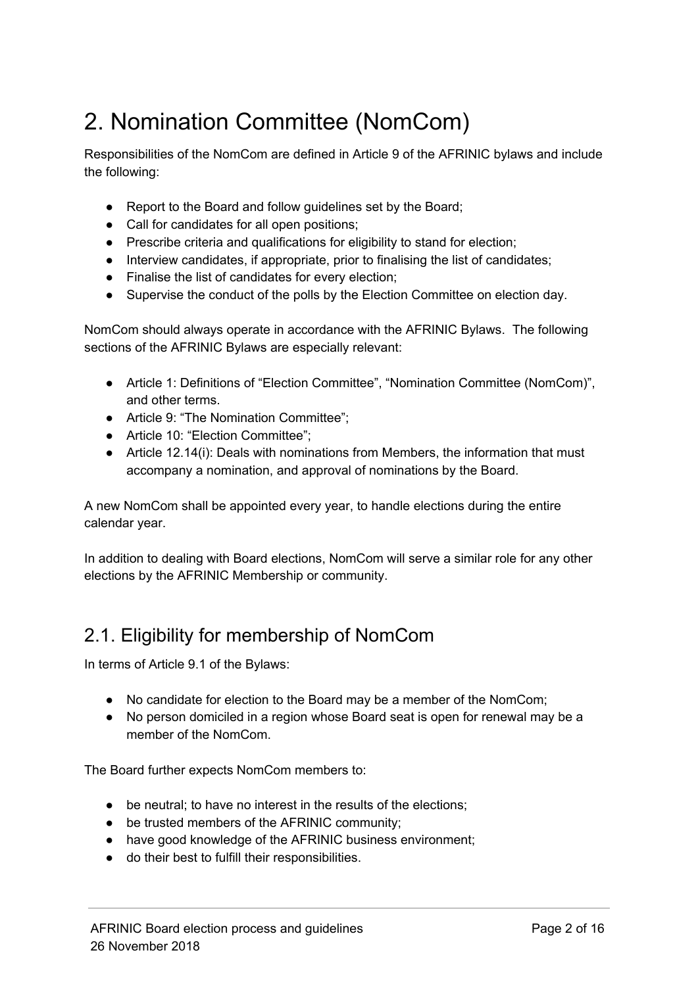### 2. Nomination Committee (NomCom)

Responsibilities of the NomCom are defined in Article 9 of the AFRINIC bylaws and include the following:

- Report to the Board and follow guidelines set by the Board;
- Call for candidates for all open positions;
- Prescribe criteria and qualifications for eligibility to stand for election;
- Interview candidates, if appropriate, prior to finalising the list of candidates;
- Finalise the list of candidates for every election;
- Supervise the conduct of the polls by the Election Committee on election day.

NomCom should always operate in accordance with the AFRINIC Bylaws. The following sections of the AFRINIC Bylaws are especially relevant:

- Article 1: Definitions of "Election Committee", "Nomination Committee (NomCom)", and other terms.
- Article 9: "The Nomination Committee";
- Article 10: "Election Committee";
- Article 12.14(i): Deals with nominations from Members, the information that must accompany a nomination, and approval of nominations by the Board.

A new NomCom shall be appointed every year, to handle elections during the entire calendar year.

In addition to dealing with Board elections, NomCom will serve a similar role for any other elections by the AFRINIC Membership or community.

#### 2.1. Eligibility for membership of NomCom

In terms of Article 9.1 of the Bylaws:

- No candidate for election to the Board may be a member of the NomCom;
- No person domiciled in a region whose Board seat is open for renewal may be a member of the NomCom.

The Board further expects NomCom members to:

- be neutral; to have no interest in the results of the elections;
- be trusted members of the AFRINIC community;
- have good knowledge of the AFRINIC business environment;
- do their best to fulfill their responsibilities.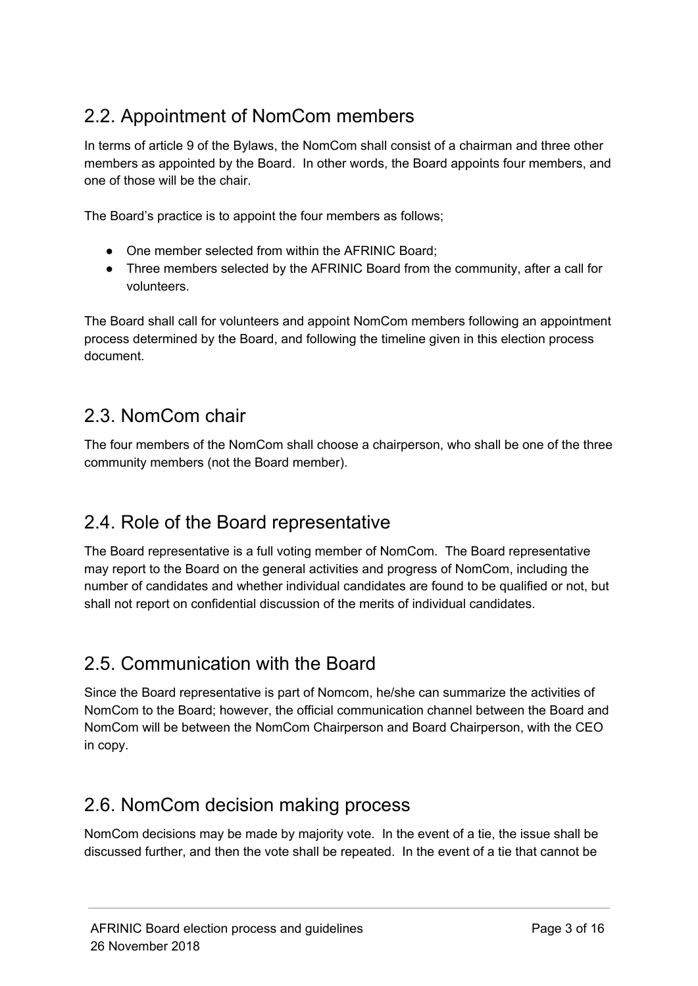#### 2.2. Appointment of NomCom members

In terms of article 9 of the Bylaws, the NomCom shall consist of a chairman and three other members as appointed by the Board. In other words, the Board appoints four members, and one of those will be the chair.

The Board's practice is to appoint the four members as follows;

- One member selected from within the AFRINIC Board;
- Three members selected by the AFRINIC Board from the community, after a call for volunteers.

The Board shall call for volunteers and appoint NomCom members following an appointment process determined by the Board, and following the timeline given in this election process document.

#### 2.3. NomCom chair

The four members of the NomCom shall choose a chairperson, who shall be one of the three community members (not the Board member).

#### 2.4. Role of the Board representative

The Board representative is a full voting member of NomCom. The Board representative may report to the Board on the general activities and progress of NomCom, including the number of candidates and whether individual candidates are found to be qualified or not, but shall not report on confidential discussion of the merits of individual candidates.

#### 2.5. Communication with the Board

Since the Board representative is part of Nomcom, he/she can summarize the activities of NomCom to the Board; however, the official communication channel between the Board and NomCom will be between the NomCom Chairperson and Board Chairperson, with the CEO in copy.

#### 2.6. NomCom decision making process

NomCom decisions may be made by majority vote. In the event of a tie, the issue shall be discussed further, and then the vote shall be repeated. In the event of a tie that cannot be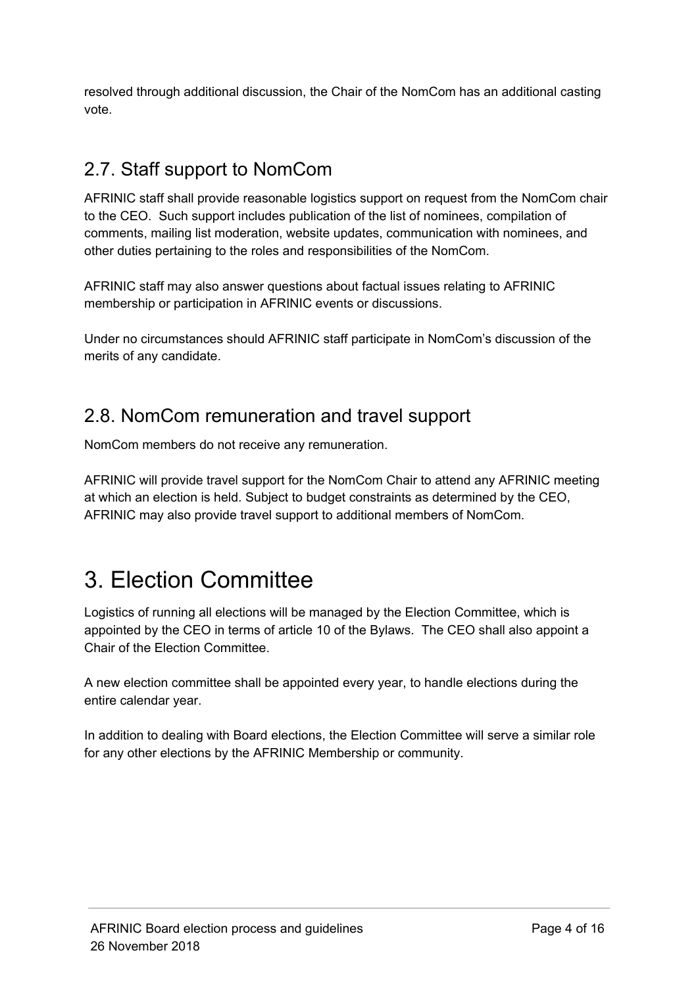resolved through additional discussion, the Chair of the NomCom has an additional casting vote.

### 2.7. Staff support to NomCom

AFRINIC staff shall provide reasonable logistics support on request from the NomCom chair to the CEO. Such support includes publication of the list of nominees, compilation of comments, mailing list moderation, website updates, communication with nominees, and other duties pertaining to the roles and responsibilities of the NomCom.

AFRINIC staff may also answer questions about factual issues relating to AFRINIC membership or participation in AFRINIC events or discussions.

Under no circumstances should AFRINIC staff participate in NomCom's discussion of the merits of any candidate.

#### 2.8. NomCom remuneration and travel support

NomCom members do not receive any remuneration.

AFRINIC will provide travel support for the NomCom Chair to attend any AFRINIC meeting at which an election is held. Subject to budget constraints as determined by the CEO, AFRINIC may also provide travel support to additional members of NomCom.

### 3. Election Committee

Logistics of running all elections will be managed by the Election Committee, which is appointed by the CEO in terms of article 10 of the Bylaws. The CEO shall also appoint a Chair of the Election Committee.

A new election committee shall be appointed every year, to handle elections during the entire calendar year.

In addition to dealing with Board elections, the Election Committee will serve a similar role for any other elections by the AFRINIC Membership or community.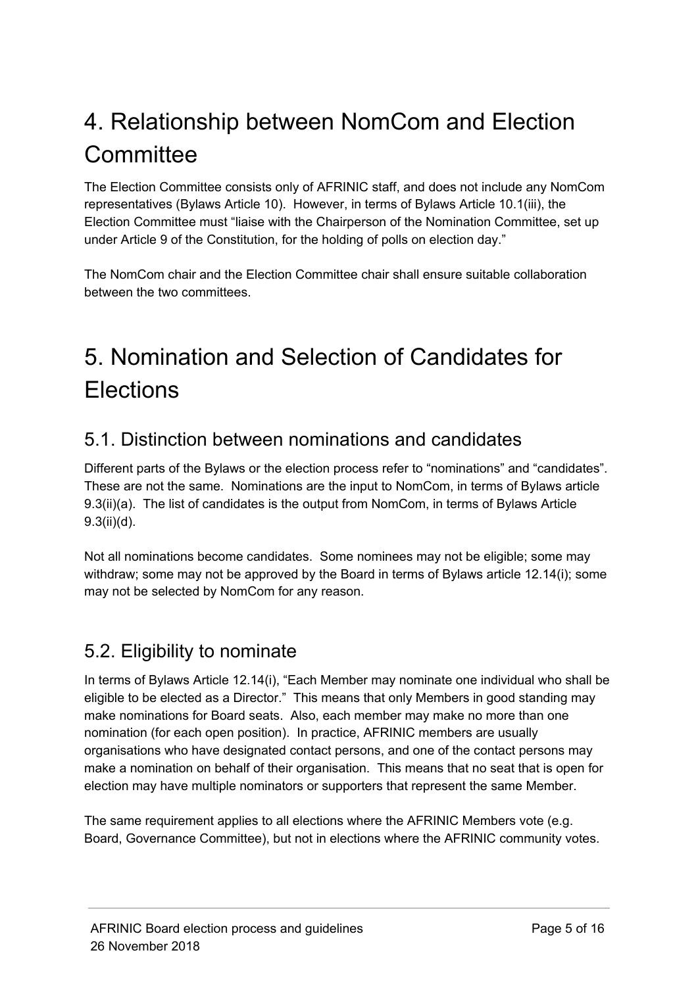### 4. Relationship between NomCom and Election **Committee**

The Election Committee consists only of AFRINIC staff, and does not include any NomCom representatives (Bylaws Article 10). However, in terms of Bylaws Article 10.1(iii), the Election Committee must "liaise with the Chairperson of the Nomination Committee, set up under Article 9 of the Constitution, for the holding of polls on election day."

The NomCom chair and the Election Committee chair shall ensure suitable collaboration between the two committees.

## 5. Nomination and Selection of Candidates for **Elections**

#### 5.1. Distinction between nominations and candidates

Different parts of the Bylaws or the election process refer to "nominations" and "candidates". These are not the same. Nominations are the input to NomCom, in terms of Bylaws article 9.3(ii)(a). The list of candidates is the output from NomCom, in terms of Bylaws Article 9.3(ii)(d).

Not all nominations become candidates. Some nominees may not be eligible; some may withdraw; some may not be approved by the Board in terms of Bylaws article 12.14(i); some may not be selected by NomCom for any reason.

#### 5.2. Eligibility to nominate

In terms of Bylaws Article 12.14(i), "Each Member may nominate one individual who shall be eligible to be elected as a Director." This means that only Members in good standing may make nominations for Board seats. Also, each member may make no more than one nomination (for each open position). In practice, AFRINIC members are usually organisations who have designated contact persons, and one of the contact persons may make a nomination on behalf of their organisation. This means that no seat that is open for election may have multiple nominators or supporters that represent the same Member.

The same requirement applies to all elections where the AFRINIC Members vote (e.g. Board, Governance Committee), but not in elections where the AFRINIC community votes.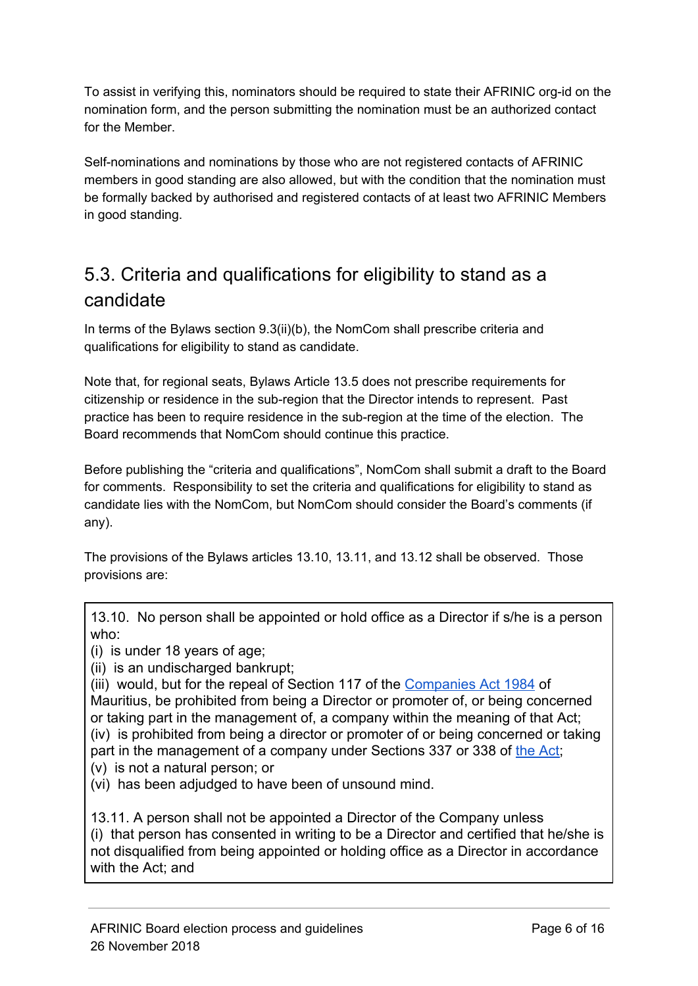To assist in verifying this, nominators should be required to state their AFRINIC org-id on the nomination form, and the person submitting the nomination must be an authorized contact for the Member.

Self-nominations and nominations by those who are not registered contacts of AFRINIC members in good standing are also allowed, but with the condition that the nomination must be formally backed by authorised and registered contacts of at least two AFRINIC Members in good standing.

#### 5.3. Criteria and qualifications for eligibility to stand as a candidate

In terms of the Bylaws section 9.3(ii)(b), the NomCom shall prescribe criteria and qualifications for eligibility to stand as candidate.

Note that, for regional seats, Bylaws Article 13.5 does not prescribe requirements for citizenship or residence in the sub-region that the Director intends to represent. Past practice has been to require residence in the sub-region at the time of the election. The Board recommends that NomCom should continue this practice.

Before publishing the "criteria and qualifications", NomCom shall submit a draft to the Board for comments. Responsibility to set the criteria and qualifications for eligibility to stand as candidate lies with the NomCom, but NomCom should consider the Board's comments (if any).

The provisions of the Bylaws articles 13.10, 13.11, and 13.12 shall be observed. Those provisions are:

13.10. No person shall be appointed or hold office as a Director if s/he is a person who:

(i) is under 18 years of age;

(ii) is an undischarged bankrupt;

(iii) would, but for the repeal of Section 117 of the [Companies Act 1984](http://companies.govmu.org/English/Legislation/Pages/Companies-Act-1984.aspx) of Mauritius, be prohibited from being a Director or promoter of, or being concerned or taking part in the management of, a company within the meaning of that Act; (iv) is prohibited from being a director or promoter of or being concerned or taking part in the management of a company under Sections 337 or 338 of [the Act;](http://companies.govmu.org/English/Legislation/Pages/Companies-Act-2001.aspx)

- (v) is not a natural person; or
- (vi) has been adjudged to have been of unsound mind.

13.11. A person shall not be appointed a Director of the Company unless (i) that person has consented in writing to be a Director and certified that he/she is not disqualified from being appointed or holding office as a Director in accordance with the Act; and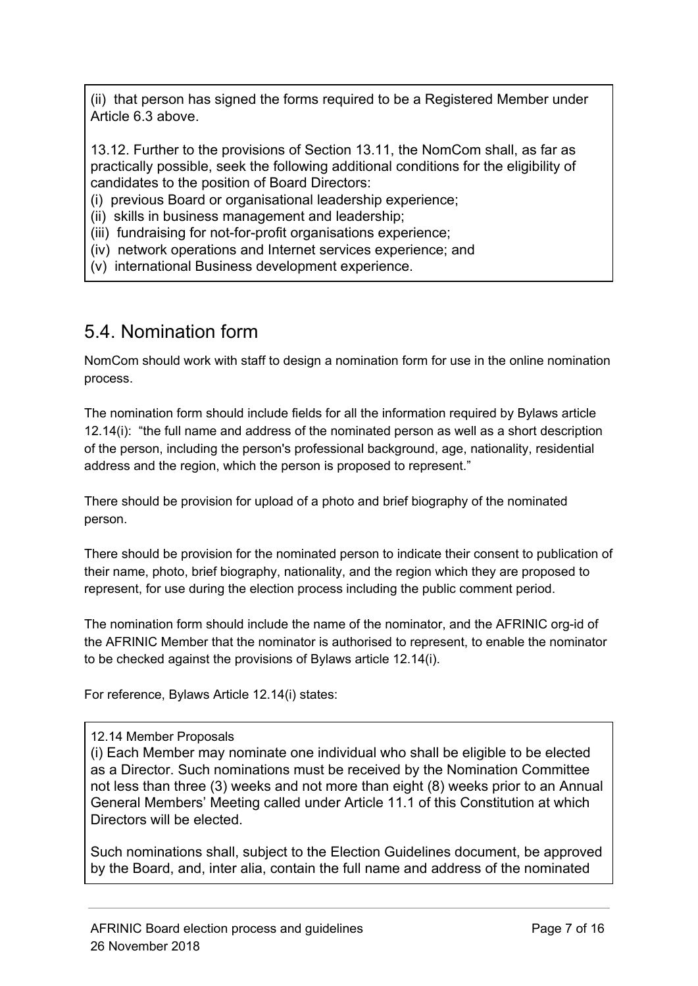(ii) that person has signed the forms required to be a Registered Member under Article 6.3 above.

13.12. Further to the provisions of Section 13.11, the NomCom shall, as far as practically possible, seek the following additional conditions for the eligibility of candidates to the position of Board Directors:

(i) previous Board or organisational leadership experience;

(ii) skills in business management and leadership;

(iii) fundraising for not-for-profit organisations experience;

(iv) network operations and Internet services experience; and

(v) international Business development experience.

#### 5.4. Nomination form

NomCom should work with staff to design a nomination form for use in the online nomination process.

The nomination form should include fields for all the information required by Bylaws article 12.14(i): "the full name and address of the nominated person as well as a short description of the person, including the person's professional background, age, nationality, residential address and the region, which the person is proposed to represent."

There should be provision for upload of a photo and brief biography of the nominated person.

There should be provision for the nominated person to indicate their consent to publication of their name, photo, brief biography, nationality, and the region which they are proposed to represent, for use during the election process including the public comment period.

The nomination form should include the name of the nominator, and the AFRINIC org-id of the AFRINIC Member that the nominator is authorised to represent, to enable the nominator to be checked against the provisions of Bylaws article 12.14(i).

For reference, Bylaws Article 12.14(i) states:

#### 12.14 Member Proposals

(i) Each Member may nominate one individual who shall be eligible to be elected as a Director. Such nominations must be received by the Nomination Committee not less than three (3) weeks and not more than eight (8) weeks prior to an Annual General Members' Meeting called under Article 11.1 of this Constitution at which Directors will be elected.

Such nominations shall, subject to the Election Guidelines document, be approved by the Board, and, inter alia, contain the full name and address of the nominated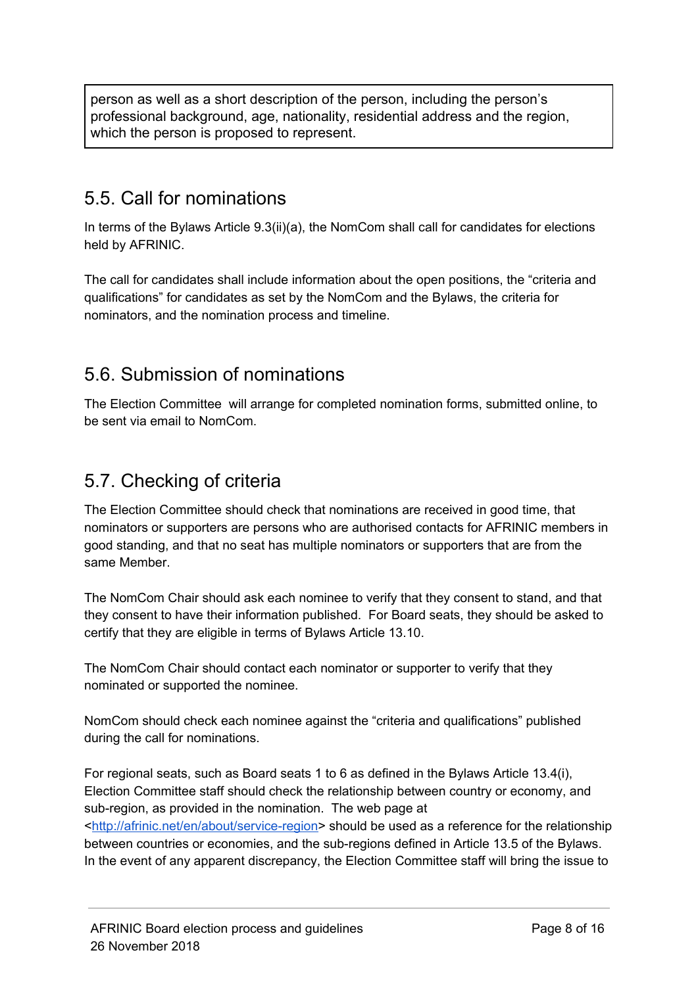person as well as a short description of the person, including the person's professional background, age, nationality, residential address and the region, which the person is proposed to represent.

#### 5.5. Call for nominations

In terms of the Bylaws Article 9.3(ii)(a), the NomCom shall call for candidates for elections held by AFRINIC.

The call for candidates shall include information about the open positions, the "criteria and qualifications" for candidates as set by the NomCom and the Bylaws, the criteria for nominators, and the nomination process and timeline.

#### 5.6. Submission of nominations

The Election Committee will arrange for completed nomination forms, submitted online, to be sent via email to NomCom.

#### 5.7. Checking of criteria

The Election Committee should check that nominations are received in good time, that nominators or supporters are persons who are authorised contacts for AFRINIC members in good standing, and that no seat has multiple nominators or supporters that are from the same Member.

The NomCom Chair should ask each nominee to verify that they consent to stand, and that they consent to have their information published. For Board seats, they should be asked to certify that they are eligible in terms of Bylaws Article 13.10.

The NomCom Chair should contact each nominator or supporter to verify that they nominated or supported the nominee.

NomCom should check each nominee against the "criteria and qualifications" published during the call for nominations.

For regional seats, such as Board seats 1 to 6 as defined in the Bylaws Article 13.4(i), Election Committee staff should check the relationship between country or economy, and sub-region, as provided in the nomination. The web page at <[http://afrinic.net/en/about/service-region>](http://afrinic.net/en/about/service-region) should be used as a reference for the relationship between countries or economies, and the sub-regions defined in Article 13.5 of the Bylaws. In the event of any apparent discrepancy, the Election Committee staff will bring the issue to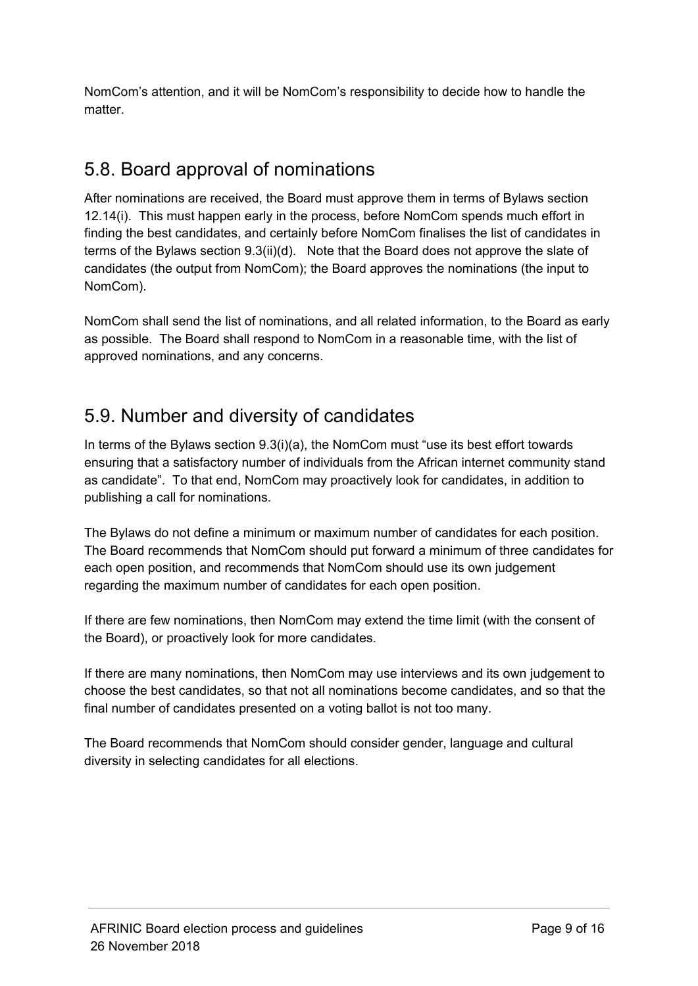NomCom's attention, and it will be NomCom's responsibility to decide how to handle the matter.

#### 5.8. Board approval of nominations

After nominations are received, the Board must approve them in terms of Bylaws section 12.14(i). This must happen early in the process, before NomCom spends much effort in finding the best candidates, and certainly before NomCom finalises the list of candidates in terms of the Bylaws section 9.3(ii)(d). Note that the Board does not approve the slate of candidates (the output from NomCom); the Board approves the nominations (the input to NomCom).

NomCom shall send the list of nominations, and all related information, to the Board as early as possible. The Board shall respond to NomCom in a reasonable time, with the list of approved nominations, and any concerns.

#### 5.9. Number and diversity of candidates

In terms of the Bylaws section  $9.3(i)(a)$ , the NomCom must "use its best effort towards" ensuring that a satisfactory number of individuals from the African internet community stand as candidate". To that end, NomCom may proactively look for candidates, in addition to publishing a call for nominations.

The Bylaws do not define a minimum or maximum number of candidates for each position. The Board recommends that NomCom should put forward a minimum of three candidates for each open position, and recommends that NomCom should use its own judgement regarding the maximum number of candidates for each open position.

If there are few nominations, then NomCom may extend the time limit (with the consent of the Board), or proactively look for more candidates.

If there are many nominations, then NomCom may use interviews and its own judgement to choose the best candidates, so that not all nominations become candidates, and so that the final number of candidates presented on a voting ballot is not too many.

The Board recommends that NomCom should consider gender, language and cultural diversity in selecting candidates for all elections.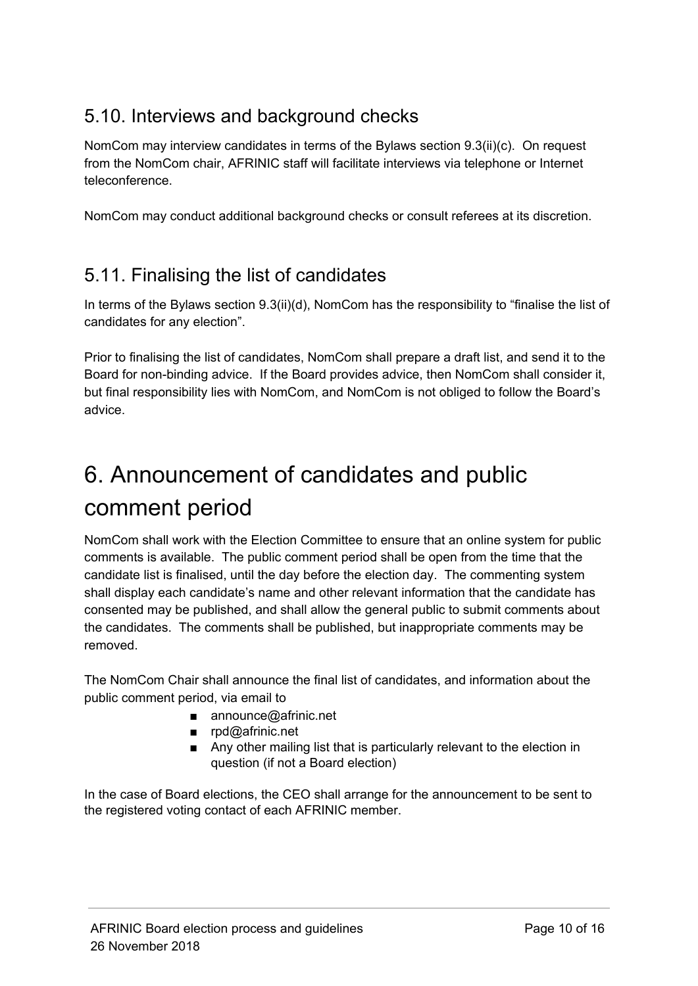#### 5.10. Interviews and background checks

NomCom may interview candidates in terms of the Bylaws section 9.3(ii)(c). On request from the NomCom chair, AFRINIC staff will facilitate interviews via telephone or Internet teleconference.

NomCom may conduct additional background checks or consult referees at its discretion.

#### 5.11. Finalising the list of candidates

In terms of the Bylaws section 9.3(ii)(d), NomCom has the responsibility to "finalise the list of candidates for any election".

Prior to finalising the list of candidates, NomCom shall prepare a draft list, and send it to the Board for non-binding advice. If the Board provides advice, then NomCom shall consider it, but final responsibility lies with NomCom, and NomCom is not obliged to follow the Board's advice.

### 6. Announcement of candidates and public comment period

NomCom shall work with the Election Committee to ensure that an online system for public comments is available. The public comment period shall be open from the time that the candidate list is finalised, until the day before the election day. The commenting system shall display each candidate's name and other relevant information that the candidate has consented may be published, and shall allow the general public to submit comments about the candidates. The comments shall be published, but inappropriate comments may be removed.

The NomCom Chair shall announce the final list of candidates, and information about the public comment period, via email to

- announce@afrinic.net
- rpd@afrinic.net
- Any other mailing list that is particularly relevant to the election in question (if not a Board election)

In the case of Board elections, the CEO shall arrange for the announcement to be sent to the registered voting contact of each AFRINIC member.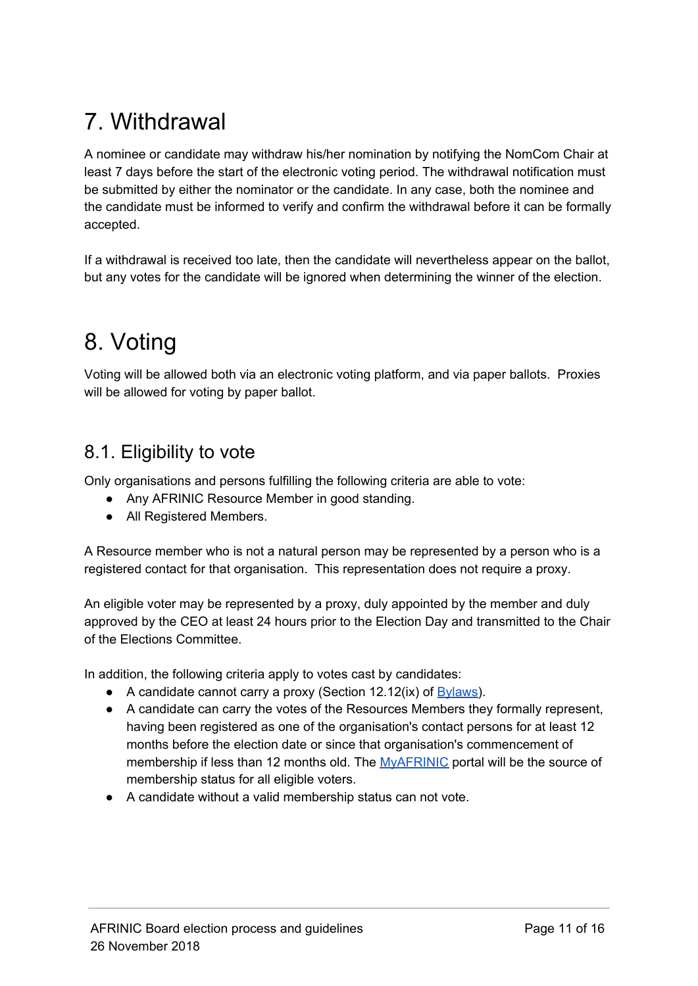### 7. Withdrawal

A nominee or candidate may withdraw his/her nomination by notifying the NomCom Chair at least 7 days before the start of the electronic voting period. The withdrawal notification must be submitted by either the nominator or the candidate. In any case, both the nominee and the candidate must be informed to verify and confirm the withdrawal before it can be formally accepted.

If a withdrawal is received too late, then the candidate will nevertheless appear on the ballot, but any votes for the candidate will be ignored when determining the winner of the election.

### 8. Voting

Voting will be allowed both via an electronic voting platform, and via paper ballots. Proxies will be allowed for voting by paper ballot.

#### 8.1. Eligibility to vote

Only organisations and persons fulfilling the following criteria are able to vote:

- Any AFRINIC Resource Member in good standing.
- All Registered Members.

A Resource member who is not a natural person may be represented by a person who is a registered contact for that organisation. This representation does not require a proxy.

An eligible voter may be represented by a proxy, duly appointed by the member and duly approved by the CEO at least 24 hours prior to the Election Day and transmitted to the Chair of the Elections Committee.

In addition, the following criteria apply to votes cast by candidates:

- $\bullet$  A candidate cannot carry a proxy (Section 12.12(ix) of  $Bylaws$ ).
- A candidate can carry the votes of the Resources Members they formally represent, having been registered as one of the organisation's contact persons for at least 12 months before the election date or since that organisation's commencement of membership if less than 12 months old. The [MyAFRINIC](https://my.afrinic.net/) portal will be the source of membership status for all eligible voters.
- A candidate without a valid membership status can not vote.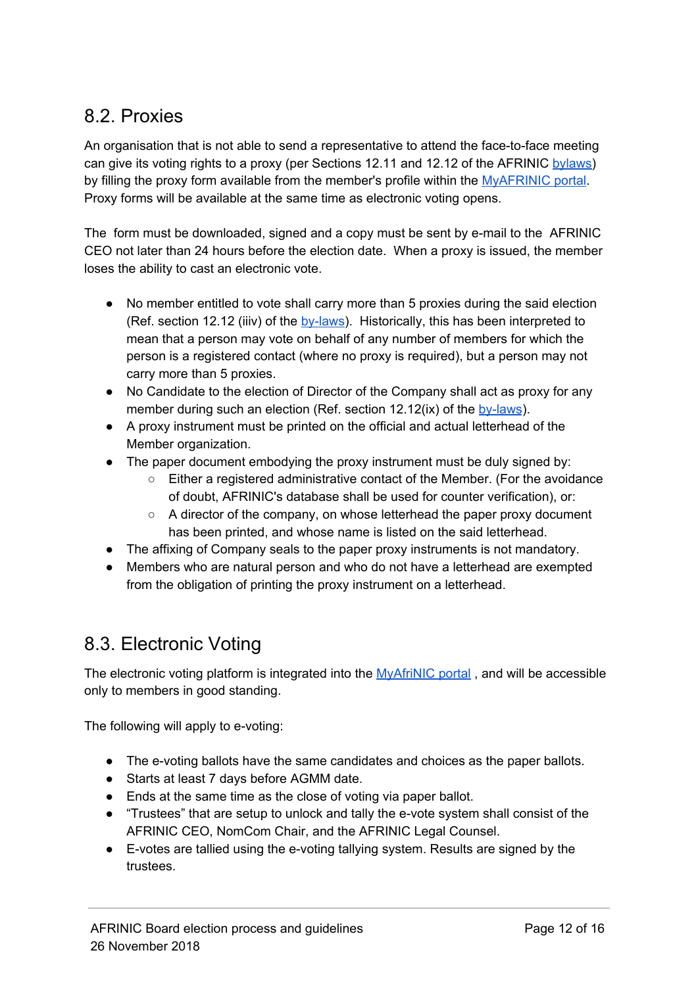#### 8.2. Proxies

An organisation that is not able to send a representative to attend the face-to-face meeting can give its voting rights to a proxy (per Sections 12.11 and 12.12 of the AFRINIC [bylaws\)](http://www.afrinic.net/en/about-us/bylaws?showall=1) by filling the proxy form available from the member's profile within the [MyAFRINIC](https://my.afrinic.net/) portal. Proxy forms will be available at the same time as electronic voting opens.

The form must be downloaded, signed and a copy must be sent by e-mail to the AFRINIC CEO not later than 24 hours before the election date. When a proxy is issued, the member loses the ability to cast an electronic vote.

- No member entitled to vote shall carry more than 5 proxies during the said election (Ref. section 12.12 (iiiv) of the [by-laws](http://www.afrinic.net/en/about-us/bylaws?showall=1)). Historically, this has been interpreted to mean that a person may vote on behalf of any number of members for which the person is a registered contact (where no proxy is required), but a person may not carry more than 5 proxies.
- No Candidate to the election of Director of the Company shall act as proxy for any member during such an election (Ref. section 12.12(ix) of the [by-laws](http://www.afrinic.net/en/about-us/bylaws?showall=1)).
- A proxy instrument must be printed on the official and actual letterhead of the Member organization.
- The paper document embodying the proxy instrument must be duly signed by:
	- Either a registered administrative contact of the Member. (For the avoidance of doubt, AFRINIC's database shall be used for counter verification), or:
	- $\circ$  A director of the company, on whose letterhead the paper proxy document has been printed, and whose name is listed on the said letterhead.
- The affixing of Company seals to the paper proxy instruments is not mandatory.
- Members who are natural person and who do not have a letterhead are exempted from the obligation of printing the proxy instrument on a letterhead.

#### 8.3. Electronic Voting

The electronic voting platform is integrated into the [MyAfriNIC](https://my.afrinic.net/) portal, and will be accessible only to members in good standing.

The following will apply to e-voting:

- The e-voting ballots have the same candidates and choices as the paper ballots.
- Starts at least 7 days before AGMM date.
- Ends at the same time as the close of voting via paper ballot.
- "Trustees" that are setup to unlock and tally the e-vote system shall consist of the AFRINIC CEO, NomCom Chair, and the AFRINIC Legal Counsel.
- E-votes are tallied using the e-voting tallying system. Results are signed by the trustees.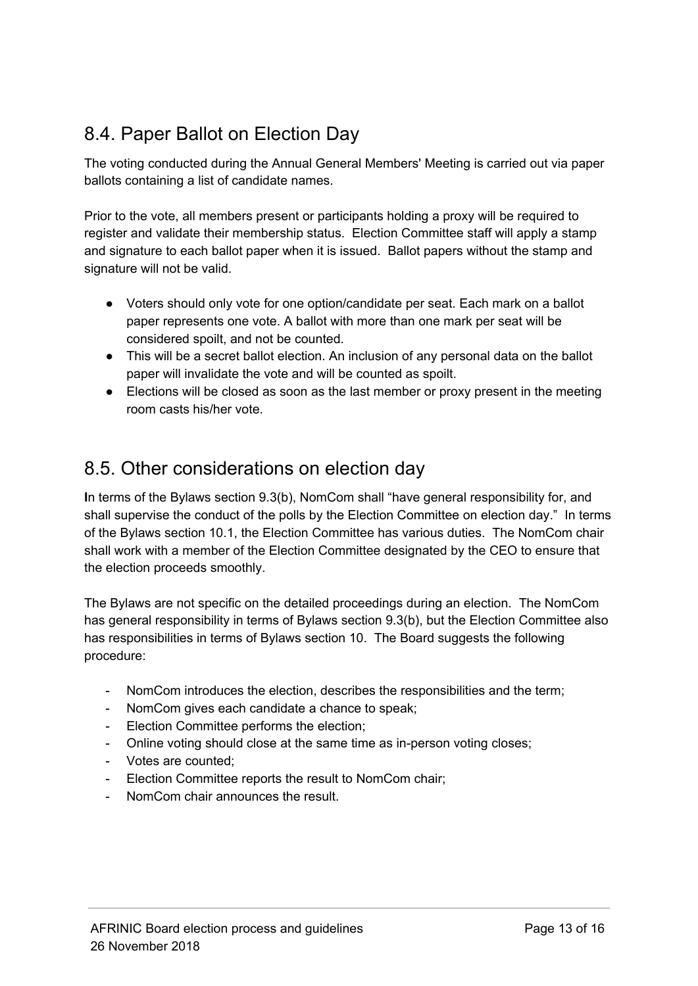#### 8.4. Paper Ballot on Election Day

The voting conducted during the Annual General Members' Meeting is carried out via paper ballots containing a list of candidate names.

Prior to the vote, all members present or participants holding a proxy will be required to register and validate their membership status. Election Committee staff will apply a stamp and signature to each ballot paper when it is issued. Ballot papers without the stamp and signature will not be valid.

- Voters should only vote for one option/candidate per seat. Each mark on a ballot paper represents one vote. A ballot with more than one mark per seat will be considered spoilt, and not be counted.
- This will be a secret ballot election. An inclusion of any personal data on the ballot paper will invalidate the vote and will be counted as spoilt.
- Elections will be closed as soon as the last member or proxy present in the meeting room casts his/her vote.

#### 8.5. Other considerations on election day

**I**n terms of the Bylaws section 9.3(b), NomCom shall "have general responsibility for, and shall supervise the conduct of the polls by the Election Committee on election day." In terms of the Bylaws section 10.1, the Election Committee has various duties. The NomCom chair shall work with a member of the Election Committee designated by the CEO to ensure that the election proceeds smoothly.

The Bylaws are not specific on the detailed proceedings during an election. The NomCom has general responsibility in terms of Bylaws section 9.3(b), but the Election Committee also has responsibilities in terms of Bylaws section 10. The Board suggests the following procedure:

- NomCom introduces the election, describes the responsibilities and the term;
- NomCom gives each candidate a chance to speak;
- Election Committee performs the election;
- Online voting should close at the same time as in-person voting closes;
- Votes are counted;
- Election Committee reports the result to NomCom chair;
- NomCom chair announces the result.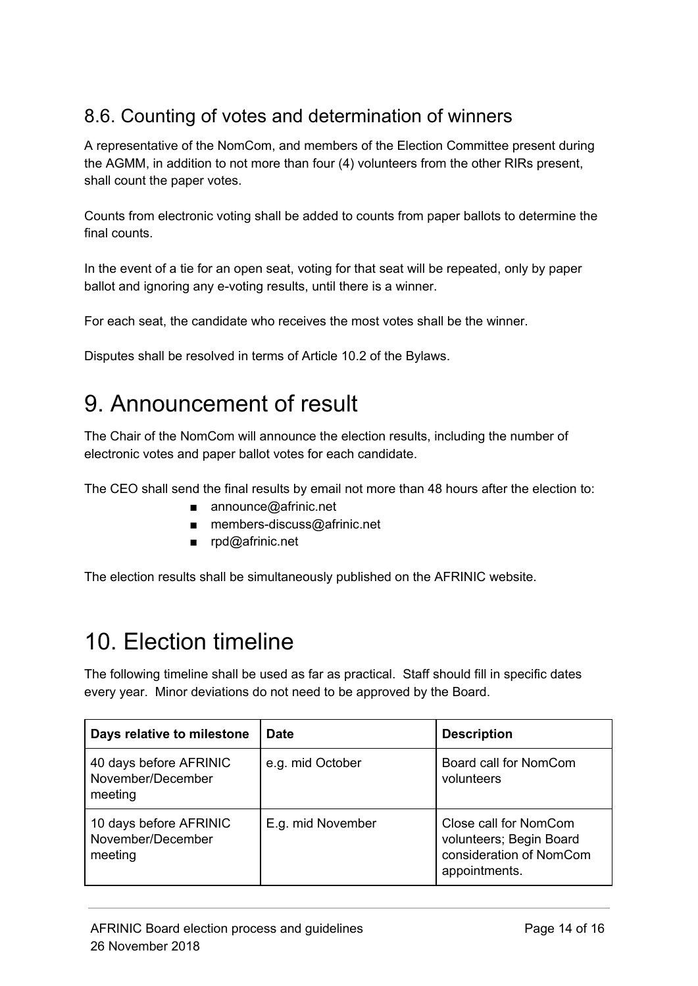#### 8.6. Counting of votes and determination of winners

A representative of the NomCom, and members of the Election Committee present during the AGMM, in addition to not more than four (4) volunteers from the other RIRs present, shall count the paper votes.

Counts from electronic voting shall be added to counts from paper ballots to determine the final counts.

In the event of a tie for an open seat, voting for that seat will be repeated, only by paper ballot and ignoring any e-voting results, until there is a winner.

For each seat, the candidate who receives the most votes shall be the winner.

Disputes shall be resolved in terms of Article 10.2 of the Bylaws.

### 9. Announcement of result

The Chair of the NomCom will announce the election results, including the number of electronic votes and paper ballot votes for each candidate.

The CEO shall send the final results by email not more than 48 hours after the election to:

- announce@afrinic.net
- members-discuss@afrinic.net
- rpd@afrinic.net

The election results shall be simultaneously published on the AFRINIC website.

### 10. Election timeline

The following timeline shall be used as far as practical. Staff should fill in specific dates every year. Minor deviations do not need to be approved by the Board.

| Days relative to milestone                             | <b>Date</b>       | <b>Description</b>                                                                           |
|--------------------------------------------------------|-------------------|----------------------------------------------------------------------------------------------|
| 40 days before AFRINIC<br>November/December<br>meeting | e.g. mid October  | Board call for NomCom<br>volunteers                                                          |
| 10 days before AFRINIC<br>November/December<br>meeting | E.g. mid November | Close call for NomCom<br>volunteers; Begin Board<br>consideration of NomCom<br>appointments. |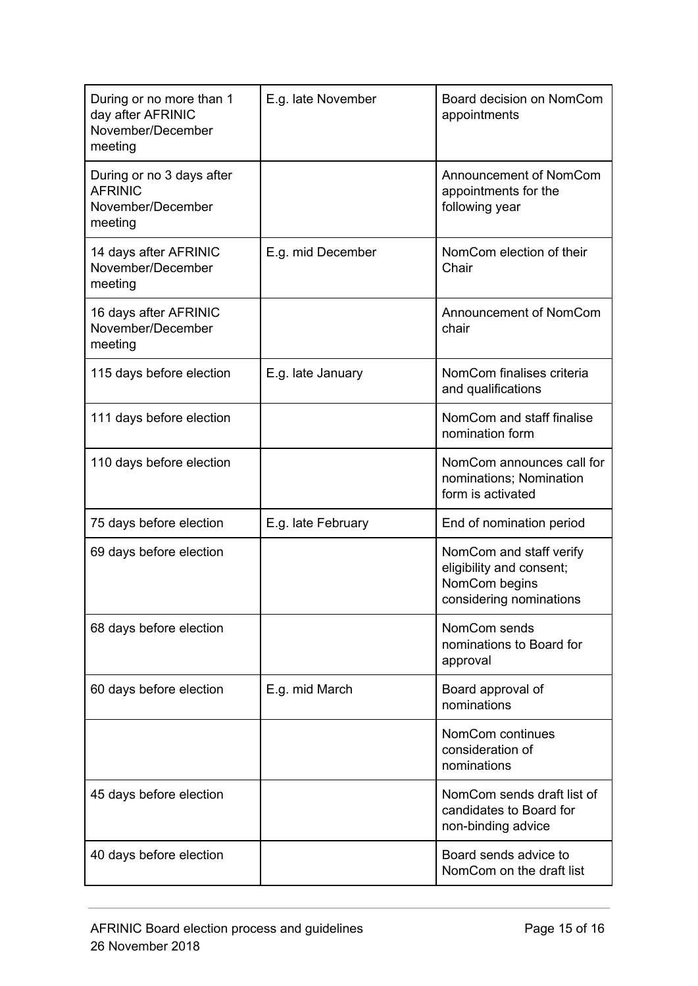| During or no more than 1<br>day after AFRINIC<br>November/December<br>meeting | E.g. late November | Board decision on NomCom<br>appointments                                                        |
|-------------------------------------------------------------------------------|--------------------|-------------------------------------------------------------------------------------------------|
| During or no 3 days after<br><b>AFRINIC</b><br>November/December<br>meeting   |                    | Announcement of NomCom<br>appointments for the<br>following year                                |
| 14 days after AFRINIC<br>November/December<br>meeting                         | E.g. mid December  | NomCom election of their<br>Chair                                                               |
| 16 days after AFRINIC<br>November/December<br>meeting                         |                    | Announcement of NomCom<br>chair                                                                 |
| 115 days before election                                                      | E.g. late January  | NomCom finalises criteria<br>and qualifications                                                 |
| 111 days before election                                                      |                    | NomCom and staff finalise<br>nomination form                                                    |
| 110 days before election                                                      |                    | NomCom announces call for<br>nominations; Nomination<br>form is activated                       |
| 75 days before election                                                       | E.g. late February | End of nomination period                                                                        |
| 69 days before election                                                       |                    | NomCom and staff verify<br>eligibility and consent;<br>NomCom begins<br>considering nominations |
| 68 days before election                                                       |                    | NomCom sends<br>nominations to Board for<br>approval                                            |
| 60 days before election                                                       | E.g. mid March     | Board approval of<br>nominations                                                                |
|                                                                               |                    | NomCom continues<br>consideration of<br>nominations                                             |
| 45 days before election                                                       |                    | NomCom sends draft list of<br>candidates to Board for<br>non-binding advice                     |
| 40 days before election                                                       |                    | Board sends advice to<br>NomCom on the draft list                                               |